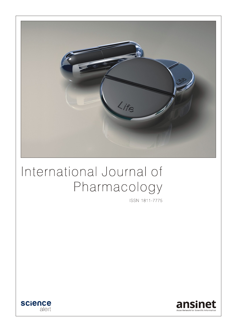

# International Journal of Pharmacology

ISSN 1811-7775



![](_page_0_Picture_4.jpeg)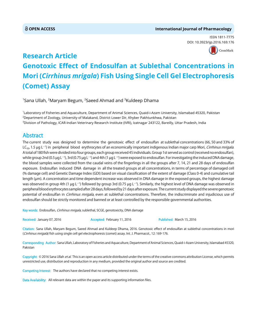#### **OPEN ACCESS International Journal of Pharmacology**

ISSN 1811-7775 DOI: 10.392[3/ijp.2016.169.176](http://crossmark.crossref.org/dialog/?doi=10.3923/ijp.2016.169.176&domain=pdf&date_stamp=2016-03-15)

![](_page_1_Picture_3.jpeg)

## **Research Article Genotoxic Effect of Endosulfan at Sublethal Concentrations in Mori (***Cirrhinus mrigala***) Fish Using Single Cell Gel Electrophoresis (Comet) Assay**

 $^{\rm 1}$ Sana Ullah,  $^{\rm 2}$ Maryam Begum,  $^{\rm 2}$ Saeed Ahmad and  $^{\rm 3}$ Kuldeep Dhama

1 Laboratory of Fisheries and Aquaculture, Department of Animal Sciences, Quaid-i-Azam University, Islamabad 45320, Pakistan 2 Department of Zoology, University of Malakand, District Lower Dir, Khyber Pakhtunkhwa, Pakistan 3 Division of Pathology, ICAR-Indian Veterinary Research Institute (IVRI), Izatnagar 243122, Bareilly, Uttar Pradesh, India

### Abstract

The current study was designed to determine the genotoxic effect of endosulfan at sublethal concentrations (66, 50 and 33% of LC<sub>s0</sub>, 1.5 µg L<sup>-1</sup>) in peripheral blood erythrocytes of an economically important indigenous Indian major carp Mori, *Cirrhinus mrigala*. A total of 180 fish were divided into four groups, each group received 45 individuals. Group 1st served as control (received no endosulfan), while group 2nd (0.5  $\mu$ g L $^{-1}$ ), 3rd (0.75  $\mu$ g L $^{-1}$ ) and 4th (1  $\mu$ g L $^{-1}$ ) were exposed to endosulfan. For investigating the induced DNA damage, the blood samples were collected from the caudal veins of the fingerlings in all the groups after 7, 14, 21 and 28 days of endosulfan exposure. Endosulfan induced DNA damage in all the treated groups at all concentrations, in terms of percentage of damaged cell (% damage cell) and Genetic Damage Index (GDI) based on visual classification of the extent of damage (Class 0-4) and cumulative tail length ( $\mu$ m). A concentration and time dependent increase was observed in DNA damage in the exposed groups, the highest damage was observed in group 4th (1 µg L<sup>-1</sup>) followed by group 3rd (0.75 µg L<sup>-1</sup>). Similarly, the highest level of DNA damage was observed in peripheral blood erythrocytes sampled after 28 days, followed by 21 days after exposure. The current study displayed the severe genotoxic potential of endosulfan in *Cirrhinus mrigala*, even at sublethal concentrations. Therefore, the indiscriminate and injudicious use of endosulfan should be strictly monitored and banned or at least controlled by the responsible governmental authorities.

Key words: Endosulfan, Cirrhinus mrigala, sublethal, SCGE, genotoxicity, DNA damage

Received: January 07, 2016 **Accepted: February 11, 2016** Published: March 15, 2016

Citation: Sana Ullah, Maryam Begum, Saeed Ahmad and Kuldeep Dhama, 2016. Genotoxic effect of endosulfan at sublethal concentrations in mori (Cirrhinus mrigala) fish using single cell gel electrophoresis (comet) assay. Int. J. Pharmacol., 12: 169-176.

Corresponding Author: Sana Ullah, Laboratory of Fisheries and Aquaculture, Department of Animal Sciences, Quaid-i-Azam University, Islamabad 45320, Pakistan

Copyright: © 2016 Sana Ullah et al. This is an open access article distributed under the terms of the creative commons attribution License, which permits unrestricted use, distribution and reproduction in any medium, provided the original author and source are credited.

Competing Interest: The authors have declared that no competing interest exists.

Data Availability: All relevant data are within the paper and its supporting information files.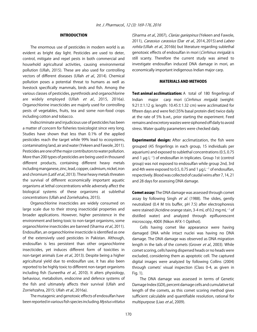#### INTRODUCTION

The enormous use of pesticides in modern world is as evident as bright day light. Pesticides are used to deter, control, mitigate and repel pests in both commercial and household agricultural activities, causing environmental pollution (Ullah, 2015). These are also used for controlling vectors of different diseases (Ullah et al., 2014). Chemical pollution poses a potential threat to humans as well as livestock specifically mammals, birds and fish. Among the various classes of pesticides, pyrethroids and organochlorine are widely employed (Ullah et al., 2015, 2016a). Organochlorine insecticides are majorly used for controlling pests of vegetables, fruits, tea and some non-food crops including cotton and tobacco.

Indiscriminate and injudicious use of pesticides has been a matter of concern for fisheries toxicologist since very long. Studies have shown that less than 0.1% of the applied pesticides reach the target while 99% lead to ecosystems, contaminating land, air and water (Yekeen and Fawole, 2011). Pesticides are one of the major contributors to water pollution. More than 200 types of pesticides are being used in thousand different products, containing different heavy metals including manganese, zinc, lead, copper, cadmium, nickel, iron and chromium (Latif et al., 2013). These heavy metals threaten the survival of different economically important aquatic organisms at lethal concentrations while adversely affect the biological systems of these organisms at sublethal concentrations (Ullah and Zorriehzahra, 2015).

Organochlorine insecticides are widely consumed on large scale due to their strong insecticidal properties and broader applications. However, higher persistence in the environment and being toxic to non-target organisms, some organochlorine insecticides are banned (Sharma et al., 2011). Endosulfan, an organochlorine insecticide is identified as one of the extensively used pesticides in Pakistan. Although, endosulfan is less persistent than other organochlorine insecticides, yet induces different form of toxicities in non-target animals (Lee et al., 2013). Despite being a higher agricultural yield due to endosulfan use, it has also been reported to be highly toxic to different non-target organisms including fish (Suneetha et al., 2010). It alters physiology, behaviour, metabolism, endocrine and defence systems of the fish and ultimately affects their survival (Ullah and Zorriehzahra, 2015; Ullah et al., 2016a).

The mutagenic and genotoxic effects of endosulfan have been reported in various fish species including Mystus vittatus (Sharma et al., 2007), Clarias gariepinus (Yekeen and Fawole, 2011), Carassius carassius (Dar et al., 2014, 2015) and Labeo rohita (Ullah et al., 2016b) but literature regarding sublethal genotoxic effects of endosulfan in mori (Cirrhinus mrigala) is still scanty. Therefore the current study was aimed to investigate endosulfan induced DNA damage in mori, an economically important indigenous Indian major carp.

#### MATERIALS AND METHODS

Test animal acclimatization: A total of 180 fingerlings of Indian major carp mori (Cirrhinus mrigala) (weight: 9.21 $\pm$ 1.12 g; length: 10.45 $\pm$ 1.32 cm) were acclimatized for fifteen days and were fed (35% basal protein diet) twice daily at the rate of 5% b.wt., prior starting the experiment. Feed remains and excretory wastes were siphoned off daily to avoid stress. Water quality parameters were checked daily.

**Experimental design:** After acclimatization, the fish were grouped (45 fingerlings in each group, 15 individuals per aquarium) and exposed to sublethal concentrations (0.5, 0.75 and 1  $\mu$ g L<sup>-1</sup>) of endosulfan in triplicates. Group 1st (control group) was not exposed to endosulfan while group 2nd, 3rd and 4th were exposed to 0.5, 0.75 and 1  $\mu$ g L<sup>-1</sup> of endosulfan, respectively. Blood was collected of caudal veins after 7, 14, 21 and 28 days for assessing DNA damage.

**Comet assay:** The DNA damage was assessed through comet assay by following Singh et al. (1988). The slides, gently neutralized (0.4 M tris buffer, pH 7.5) after electrophoresis were stained (Acridine orange stain, 3-4 mL of 0.2 mg mL $^{-1}$  of distilled water) and analyzed through epifluorescent microscopy, 400X (Nikon AFX-1 Optihot).

Cells having comet like appearance were having damaged DNA while intact nuclei was having no DNA damage. The DNA damage was observed as DNA migration length in the tails of the comets (Grover et al., 2003). While comet scoring, cells having dispersed heads or no heads were excluded, considering them as apoptotic cell. The captured digital images were analyzed by following Collins (2004) through comets' visual inspection (Class 0-4, as given in Fig. 1).

The DNA damage was assessed in terms of Genetic Damage Index (GDI), percent damage cells and cumulative tail length of the comets, as this comet scoring method gives sufficient calculable and quantifiable resolution, rational for multipurpose (Liao et al., 2009).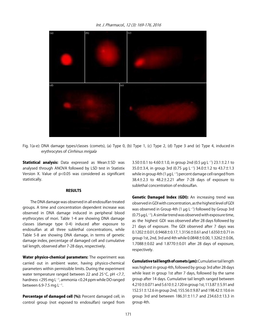Int. J. Pharmacol., 12 (3): 169-176, 2016

![](_page_3_Figure_1.jpeg)

Fig. 1(a-e): DNA damage types/classes (comets), (a) Type 0, (b) Type 1, (c) Type 2, (d) Type 3 and (e) Type 4, induced in erythrocytes of Cirrhinus mrigala

Statistical analysis: Data expressed as Mean±SD was analysed through ANOVA followed by LSD test in Statistix Version X. Value of p<0.05 was considered as significant statistically.

#### RESULTS

The DNA damage was observed in all endosulfan treated groups. A time and concentration dependent increase was observed in DNA damage induced in peripheral blood erythrocytes of mori. Table 1-4 are showing DNA damage classes (damage type 0-4) induced after exposure to endosulfan at all three sublethal concentrations, while Table 5-8 are showing DNA damage, in terms of genetic damage index, percentage of damaged cell and cumulative tail length, observed after 7-28 days, respectively.

Water physico-chemical parameters: The experiment was carried out in ambient water, having physico-chemical parameters within permissible limits. During the experiment water temperature ranged between 22 and  $25^{\circ}$ C, pH <7.7, hardness <295 mg L<sup>-1</sup>, ammonia <0.24 ppm while DO ranged between 6.9-7.5 mg L $^{-1}$ .

Percentage of damaged cell (%): Percent damaged cell, in control group (not exposed to endosulfan) ranged from

3.50 $\pm$ 0.1 to 4.60 $\pm$ 1.0, in group 2nd (0.5  $\mu$ g L $^{-1}$ ) 23.1 $\pm$ 2.1 to 35.0 $\pm$ 3.4, in group 3rd (0.75 µg L<sup>-1</sup>) 34.0 $\pm$ 1.2 to 43.7 $\pm$ 1.3 while in group 4th (1  $\mu$ g L<sup>-1</sup>) percent damage cell ranged from  $38.4 \pm 2.3$  to  $48.2 \pm 2.21$  after 7-28 days of exposure to sublethal concentration of endosulfan.

Genetic Damaged Index (GDI): An increasing trend was observed in GDI with concentration, as the highest level of GDI was observed in Group 4th (1  $\mu$ g L $^{-1}$ ) followed by Group 3rd  $(0.75 \,\mu g L^{-1})$ . A similar trend was observed with exposure time, as the highest GDI was observed after 28 days followed by 21 days of exposure. The GDI observed after 7 days was  $0.1202 \pm 0.01$ ,  $0.9468 \pm 0.17$ ,  $1.3156 \pm 0.61$  and  $1.6350 \pm 0.71$  in group 1st, 2nd, 3rd and 4th while  $0.0848 \pm 0.00$ , 1.3262 $\pm 0.06$ , 1.7088±0.02 and 1.8770±0.01 after 28 days of exposure, respectively.

**Cumulative tail length of comets (um):** Cumulative tail length was highest in group 4th, followed by group 3rd after 28 days while least in group 1st after 7 days, followed by the same group after 14 days. Cumulative tail length ranged between 4.210±0.071 and 5.610±2.120 in group 1st, 113.87±5.91 and 152.51±12.6 in group 2nd, 155.56±9.87 and 198.42±10.6 in group 3rd and between  $186.31 \pm 11.7$  and  $234.63 \pm 13.3$  in group 4th.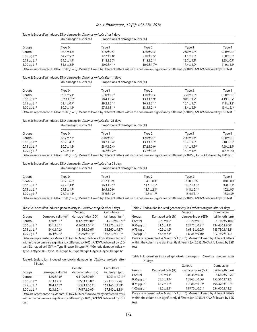#### Int. J. Pharmacol., 12 (3): 169-176, 2016

| Table 1: Endosulfan induced DNA damage in <i>Cirrhinus mrigala</i> after 7 days |                             |                                   |                              |                             |                             |  |  |
|---------------------------------------------------------------------------------|-----------------------------|-----------------------------------|------------------------------|-----------------------------|-----------------------------|--|--|
|                                                                                 | Un-damaged nuclei (%)       | Proportions of damaged nuclei (%) |                              |                             |                             |  |  |
| Groups                                                                          | Type 0                      | Type 1                            | Type 2                       | Type 3                      | Type 4                      |  |  |
| Control                                                                         | $93.5 \pm 4.3^{\circ}$      | $3.00 \pm 0.5$ <sup>c</sup>       | $1.50 \pm 0.3$ c             | $2.00 \pm 0.8$ <sup>d</sup> | $0.00 \pm 0.0$ <sup>d</sup> |  |  |
| $0.50 \,\mu g \,L^{-1}$                                                         | $64.2 \pm 5.3^{\rm b}$      | $12.7 \pm 1.8^{\circ}$            | $9.10 \pm 1.5^{\circ}$       | $11.5 \pm 0.6$ <sup>c</sup> | $2.50 \pm 0.3$ <sup>c</sup> |  |  |
| $0.75 \mu g L^{-1}$                                                             | $34.2 \pm 1.9$ <sup>c</sup> | $31.8 \pm 3.7^{\circ}$            | $11.8 \pm 2.1^a$             | $13.7 \pm 1.1^{\circ}$      | $8.50 \pm 0.9$              |  |  |
| $1.00 \,\mu g \,L^{-1}$                                                         | $31.6 \pm 2.3$              | $30.0 \pm 4.1^{\circ}$            | $10.0 \pm 1.7$ <sup>ab</sup> | $17.4 \pm 1.2^a$            | $11.0 \pm 1.6^{\circ}$      |  |  |

Data are represented as Mean $\pm$ SD (n = 6). Means followed by different letters within the column are significantly different (p<0.05), ANOVA followed by LSD test

#### Table 2: Endosulfan induced DNA damage in Cirrhinus mrigala after 14 days

|                                           | Un-damaged nuclei (%)  |                             | Proportions of damaged nuclei (%) |                             |                             |  |  |
|-------------------------------------------|------------------------|-----------------------------|-----------------------------------|-----------------------------|-----------------------------|--|--|
| Groups                                    | Type 0                 | Type.                       | Type 2                            | Type 3                      | Type 4                      |  |  |
| Control                                   | $90.1 \pm 5.1^{\circ}$ | $5.30 \pm 1.7$ <sup>d</sup> | $1.10 \pm 0.3$ c                  | $3.50 \pm 0.8$              | $0.00 \pm 0.0$ d            |  |  |
| $0.50 \,\mathrm{\mu g} \,\mathrm{L}^{-1}$ | $52.3 \pm 7.2$         | $20.4 \pm 3.4$              | $13.3 \pm 1.9^{\circ}$            | $9.81 \pm 1.2$ <sup>b</sup> | 4.19 $\pm$ 0.7 $\epsilon$   |  |  |
| $0.75 \mu g L^{-1}$                       | $32.4 \pm 0.7$         | $29.2 \pm 3.1^a$            | $16.5 \pm 3.1^{\circ}$            | $10.1 \pm 1.6^{\circ}$      | $11.8 \pm 3.2$ <sup>b</sup> |  |  |
| $1.00 \,\mu g \,L^{-1}$                   | $30.2 \pm 1.1$ °       | $27.5 \pm 3.1$ <sup>b</sup> | $13.5 \pm 2.1$ <sup>b</sup>       | $15.4 \pm 2.1$ <sup>a</sup> | $13.4 \pm 2.4^{\circ}$      |  |  |

Data are represented as Mean±SD (n = 6). Means followed by different letters within the column are significantly different (p<0.05), ANOVA followed by LSD test

#### Table 3: Endosulfan induced DNA damage in Cirrhinus mrigala after 21 days

|                                           | Un-damaged nuclei (%)<br>------------------------------- | Proportions of damaged nuclei (%) |                        |                             |                             |  |
|-------------------------------------------|----------------------------------------------------------|-----------------------------------|------------------------|-----------------------------|-----------------------------|--|
| Groups                                    | Type 0                                                   | Tvpe 1                            | Type 2                 | Tvpe 3                      | Type 4                      |  |
| Control                                   | $88.2 \pm 7.3$ <sup>a</sup>                              | $8.10 \pm 0.7$ <sup>c</sup>       | $1.40 \pm 0.7$ °       | $2.30 \pm 0.4$ <sup>c</sup> | $0.00 \pm 0.0$ d            |  |
| $0.50 \,\mathrm{\mu g} \,\mathrm{L}^{-1}$ | $50.2 \pm 4.5^{\circ}$                                   | $18.2 \pm 3.4^{\circ}$            | $13.3 \pm 1.2^b$       | $13.2 \pm 2.3^{\circ}$      | $5.10 \pm 0.8$ c            |  |
| $0.75 \mu g L^{-1}$                       | $30.2 \pm 1.3$ <sup>c</sup>                              | $28.9 \pm 2.4$ <sup>a</sup>       | $17.2 \pm 0.9^{\circ}$ | $14.1 \pm 1.1^{ab}$         | 9.60 $\pm$ 2.4 <sup>b</sup> |  |
| $1.00 \,\mu g \,L^{-1}$                   | $28.2 \pm 1.1$ <sup>c</sup>                              | $26.2 \pm 1.2^{ab}$               | $13.2 + 1.4b$          | $16.1 \pm 1.3^a$<br>.       | $16.3 \pm 1.4a$             |  |

Data are represented as Mean $\pm$ SD (n = 6). Means followed by different letters within the column are significantly different (p<0.05)., ANOVA followed by LSD test

#### Table 4: Endosulfan induced DNA damage in Cirrhinus mrigala after 28 days

| Groups              | Un-damaged nuclei (%)                  | Proportions of damaged nuclei (%) |                             |                              |                        |  |
|---------------------|----------------------------------------|-----------------------------------|-----------------------------|------------------------------|------------------------|--|
|                     | ----------------------------<br>Type 0 | Tvpe 1                            | Tvpe 2                      | Type 3                       | Type 4                 |  |
| Control             | $88.2 \pm 6.6^{\circ}$                 | $8.07 \pm 0.9$ <sup>c</sup>       | $1.40\pm0.4$ <sup>d</sup>   | $2.30 \pm 0.6$ <sup>c</sup>  | $0.00 \pm 0.0$         |  |
| $0.50 \mu q L^{-1}$ | $48.7 \pm 3.4^{\circ}$                 | $16.3 \pm 2.1^{\circ}$            | $11.6 \pm 1.5$ <sup>c</sup> | $13.7 \pm 1.3^b$             | $9.70 \pm 1.4^{\circ}$ |  |
| $0.75 \mu g L^{-1}$ | $29.8 \pm 1.7$ °                       | $26.5 \pm 0.9$ <sup>a</sup>       | $18.7 \pm 2.4^a$            | $14.8 \pm 2.1$ <sup>ab</sup> | $102 \pm 06^{\circ}$   |  |
| $1.00 \mu g L^{-1}$ | $26.2 \pm 1.5$ <sup>d</sup>            | $25.6 \pm 1.2$ <sup>a</sup>       | $14.5 \pm 1.7$ <sup>b</sup> | $15.4 \pm 1.1^a$             | 18.3±3.3ª              |  |

Data are represented as Mean $\pm$ SD (n = 6). Means followed by different letters within the column are significantly different (p<0.05), ANOVA followed by LSD test

| Table 5: Endosulfan induced geno-toxicity in <i>Cirrhinus mrigala</i> after 7 days |  |  |
|------------------------------------------------------------------------------------|--|--|
|                                                                                    |  |  |

|                     |                             | **Genetic                      | Cumulative                     |
|---------------------|-----------------------------|--------------------------------|--------------------------------|
| Groups              | Damaged cells (%)*          | damage index (GDI)             | tail length (µm)               |
| Control             | $3.50 \pm 0.1$ <sup>d</sup> | $0.1202 \pm 0.01$ <sup>d</sup> | $4.210 \pm 0.071$ <sup>d</sup> |
| $0.50 \mu q L^{-1}$ | $23.1 \pm 2.1$ c            | $0.9468 \pm 0.17$ c            | 113.870±5.91c                  |
| $0.75 \mu q L^{-1}$ | $34.0 \pm 1.2$ <sup>b</sup> | $1.3156 \pm 0.61^{\circ}$      | 155.560±9.87 <sup>b</sup>      |
| $1.00 \mu g L^{-1}$ | $38.4 \pm 2.3$ <sup>a</sup> | $1.6350 \pm 0.71$ <sup>a</sup> | 186.310 ± 11.7 <sup>a</sup>    |

Data are represented as Mean $\pm$ SD (n = 6). Means followed by different letters within the column are significantly different (p<0.05), ANOVA followed by LSD test, Damaged cell  $(%)^*$  = Type II+type III+type IV, \*\* Genetic damage index = Type I+2(type II)+3(type III)+4(type IV)/type 0+type I+type II+type III+type IV

Table 6: Endosulfan induced genotoxic damage in Cirrhinus mrigala after 14 days

|                     |                             | Genetic                        | Cumulative                     |
|---------------------|-----------------------------|--------------------------------|--------------------------------|
| Groups              | Damaged cells (%)           | damage index (GDI)             | tail length (µm)               |
| Control             | $4.60 \pm 1.0$ <sup>d</sup> | $0.1100 \pm 0.01$ <sup>d</sup> | $4.251 \pm 1.211$ <sup>d</sup> |
| $0.50 \mu q L^{-1}$ | $27.3 \pm 2.3$ c            | $1.0503 \pm 0.06^{\circ}$      | 125.410 ± 5.76 <sup>c</sup>    |
| $0.75 \mu q L^{-1}$ | 38.4±1.7 <sup>b</sup>       | $1.5383 \pm 0.11$ <sup>a</sup> | 169.160±9.39 <sup>b</sup>      |
| $1.00 \mu q L^{-1}$ | $42.3 \pm 2.1$ <sup>a</sup> | $1.7417 \pm 0.09$ <sup>a</sup> | 197.140±8.18 <sup>a</sup>      |

Data are represented as Mean $\pm$ SD (n = 6). Means followed by different letters within the column are significantly different (p<0.05), ANOVA followed by LSD test

Table 7: Endosulfan induced genotoxicity in Cirrhinus mrigala after 21 days

|                     |                             | Genetic                        | Cumulative                  |
|---------------------|-----------------------------|--------------------------------|-----------------------------|
| Groups              | Damaged cells (%)           | damage index (GDI)             | tail length (µm)            |
| Control             | $3.70 \pm 0.9$ <sup>d</sup> | $0.1020 \pm 0.01$ <sup>d</sup> | 5.110±2.010 <sup>d</sup>    |
| $0.50 \mu q L^{-1}$ | $31.6 \pm 3.1$ c            | $1.2471 \pm 0.21$ <sup>b</sup> | 134.430±9.51c               |
| $0.75 \mu g L^{-1}$ | $40.9 \pm 1.2$ <sup>b</sup> | $1.6813 \pm 0.05$ <sup>a</sup> | 183.730 ± 13.8 <sup>b</sup> |
| $1.00 \mu g L^{-1}$ | $45.6 \pm 2.3$ <sup>a</sup> | $1.8086 \pm 0.10^a$            | 217.760 ± 11.2 <sup>a</sup> |

Data are represented as Mean $\pm$ SD (n = 6). Means followed by different letters within the column are significantly different (p<0.05), ANOVA followed by LSD test

Table 8: Endosulfan induced genotoxic damage in *Cirrhinus mrigala* after 28 days

|                     |                             | Genetic                        | Cumulative                     |
|---------------------|-----------------------------|--------------------------------|--------------------------------|
| Groups              | Damaged cells (%)           | damage index (GDI)             | tail length (µm)               |
| Control             | 3.70±0.1 <sup>d</sup>       | $0.0848 \pm 0.00$ c            | $5.610 \pm 2.120$ <sup>d</sup> |
| $0.50 \mu q L^{-1}$ | 35.0 $\pm$ 3.4 $\text{c}$   | $1.3262 \pm 0.06^b$            | 152.510 ± 12.6°                |
| $0.75 \mu q L^{-1}$ | $43.7 \pm 1.3$ <sup>b</sup> | $1.7088 \pm 0.02$ <sup>a</sup> | 198.420 ± 10.6 <sup>b</sup>    |
| $1.00 \mu q L^{-1}$ | $48.2 \pm 2.1$ <sup>a</sup> | 1.8770±0.01 <sup>a</sup>       | 234.630 ± 13.3 <sup>a</sup>    |

Data are represented as Mean $\pm$ SD (n = 6). Means followed by different letters within the column are significantly different (p<0.05), ANOVA followed by LSD test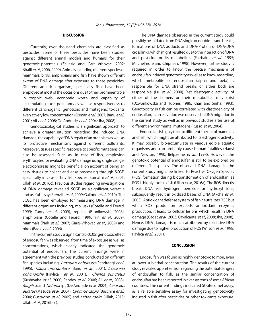#### **DISCUSSION**

Currently, over thousand chemicals are classified as pesticides. Some of these pesticides have been studied against different animal models and humans for their genotoxic potentials (Zeljezic and Garaj-Vrhovac, 2002; Bhalli et al., 2006, 2009). Animals including different species of mammals, birds, amphibians and fish have shown different extent of DNA damage after exposure to these pesticides. Different aquatic organism, specifically fish, have been employed at most of the occasions due to their prominent role in trophic web, economic worth and capability of accumulating toxic pollutants as well as responsiveness to different carcinogenic, genotoxic and mutagenic toxicants even at very low concentration (Osman et al., 2007; Banu et al., 2001; Ali et al., 2008; De Andrade et al., 2004; Jha, 2008).

Genotoxicological studies is a significant approach to achieve a greater intuition regarding the induced DNA damage, the capability of DNA repair of an organism as well as its protective mechanisms against different pollutants. Moreover, tissues specific response to specific mutagens can also be assessed. Such as, in case of fish, employing erythrocytes for evaluating DNA damage using single cell gel electrophoresis might be beneficial on account of being an easy tissues to collect and easy processing through SCGE, specifically in case of tiny fish species (Sumathi et al., 2001; Ullah et al., 2016c). Previous studies regarding investigations of DNA damage revealed SCGE as a significant, versatile and useful assay (Frenzilli et al., 2009; Galindo et al., 2010). The SCGE has been employed for measuring DNA damage in different organisms including, mollusks (Cotelle and Ferard, 1999; Canty et al., 2009), reptiles (Bronikowski, 2008), amphibians (Cotelle and Ferard, 1999; Yin et al., 2009), mammals (Park et al., 2007; Garaj-Vrhovac et al., 2009) and birds (Baos et al., 2006).

In the current study a significant (p<0.05) genotoxic effect of endosulfan was observed, from time of exposure as well as concentrations, which clearly indicated the genotoxic potential of endosulfan. The current findings were in agreement with the previous studies conducted on different fish species including Ameiurus nebulosus (Pandrangi et al., 1995), Tilapia mossambica (Banu et al., 2001), Dreissena polymorpha (Pavlica et al., 2001), Channa punctatus (Kushwaha et al., 2000; Pandey et al., 2006; Ali et al., 2008), Mugilsp. and Netumasp., (De Andrade et al., 2004), Carassius auratus (Masuda et al., 2004), Cyprinus carpio (Buschini et al., 2004; Gustavino et al., 2005) and Labeo rohita (Ullah, 2015; Ullah et al., 2016b, c).

The DNA damage observed in the current study could possibly be initiated from DNA single or double strand breaks, formations of DNA adducts and DNA-Protein or DNA-DNA cross links, which might resulted due to the interaction of DNA and pesticide or its metabolites (Fairbairn et al., 1995; Mitchelmore and Chipman, 1998). However, further study is required in order to know the precise mechanism of endosulfan induced genotoxicity as well as to know regarding, which metabolite of endosulfan (alpha and beta) is responsible for DNA strand breaks or either both are responsible (Lu et al., 2000). Yet clastogenic activity, of either of the isomers or their metabolites may exist (Dzwonkowska and Hubner, 1986; Khan and Sinha, 1993). Genotoxicity in fish can be correlated with clastogenicity of endosulfan, as an elevation was observed in DNA migration in the current study as well as in previous studies after use of different environmental mutagens (Russo et al., 2004).

Endosulfan is highly toxic to different species of mammals and fish, which might be attributed to its estrogenic activity. It may possibly bio-accumulate in various edible aquatic organisms and can probably cause human fatalities (Naqvi and Newton, 1990; Belpaeme et al., 1998). However, the genotoxic potential of endosulfan is still to be explored on different fish species. The observed DNA damage in the current study might be linked to Reactive Oxygen Species (ROS) formation during biotransformation of endosulfan, as ROS is highly toxic to fish (Ullah et al., 2016a). The ROS directly break DNA via hydrogen peroxide or hydroxyl ions, subsequently result in oxidized bases of DNA (Akcha et al., 2003). Antioxidant defense system of fish neutralizes ROS but when ROS production exceeds antioxidant enzymes production, it leads to cellular lesions which result in DNA damage (Cadet et al., 2003; Cavalcante et al., 2008; Jha, 2008). Hence, DNA damage is much attributed by oxidative DNA damage due to higher production of ROS (Wilson et al., 1998; Pavlica et al., 2001).

#### **CONCLUSION**

Endosulfan was found as highly genotoxic to mori, even at lower sublethal concentration. The results of the current study revealed apprehension regarding the potential dangers of endosulfan to fish, as the similar concentration of endosulfan has been reported in river systems of some African countries. The current findings indicated SCGE/comet assay, as a reliable sensitive assay for investigating genotoxicity induced in fish after pesticides or other toxicants exposure.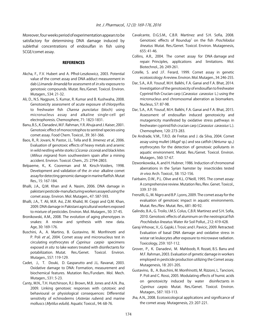Moreover, four weeks period of experimentation appears to be satisfactory for determining DNA damage induced by sublethal concentrations of endosulfan in fish using SCGE/comet assay.

#### **REFERENCES**

- Akcha, F., F.V. Hubert and A. Pfhol-Leszkowicz, 2003. Potential value of the comet assay and DNA adduct measurement in dab (*Limanda limanda*) for assessment of *in situ* exposure to genotoxic compounds. Mutat. Res./Genet. Toxicol. Environ. Mutagen., 534: 21-32.
- Ali, D., N.S. Nagpure, S. Kumar, R. Kumar and B. Kushwaha, 2008. Genotoxicity assessment of acute exposure of chlorpyrifos to freshwater fish Channa punctatus (bloch) using micronucleus assay and alkaline single-cell gel electrophoresis. Chemosphere, 71: 1823-1831.
- Banu, B.S., K. Danadevi, M.F. Rahman, Y.R. Ahuja and J. Kaiser, 2001. Genotoxic effect of monocrotophos to sentinel species using comet assay. Food Chem. Toxicol., 39: 361-366.
- Baos, R., R. Jovani, N. Pastor, J.L. Tella and B. Jimenez et al., 2006. Evaluation of genotoxic effects of heavy metals and arsenic in wild nestling white storks (Ciconia ciconia) and black kites (Milvus migrans) from southwestern spain after a mining accident. Environ. Toxicol. Chem., 25: 2794-2803.
- Belpaeme, K., K. Cooreman and M. Kirsch-Voiders, 1998. Development and validation of the in vivo alkaline comet assay for detecting genomic damage in marine flatfish. Mutat Res., 15: 167-184.
- Bhalli, J.A., Q.M. Khan and A. Nasim, 2006. DNA damage in pakistani pesticide-manufacturing workers assayed using the comet assay. Environ. Mol. Mutagen., 47: 587-593.
- Bhalli, J.A., T. Ali, M.R. Asi, Z.M. Khalid, M. Ceppi and Q.M. Khan, 2009. DNA damage in Pakistani agricultural workers exposed to mixture of pesticides. Environ. Mol. Mutagen., 50: 37-45.
- Bronikowski, A.M., 2008. The evolution of aging phenotypes in snakes: A review and synthesis with new data. Age, 30: 169-176.
- Buschini, A., A. Martino, B. Gustavino, M. Monfrinotti and P. Poli et al., 2004. Comet assay and micronucleus test in circulating erythrocytes of Cyprinus carpio specimens exposed *in situ* to lake waters treated with disinfectants for potabilization. Mutat. Res./Genet. Toxicol. Environ. Mutagen., 557: 119-129.
- Cadet, J., T. Douki, D. Gasparutto and J.L. Ravanat, 2003. Oxidative damage to DNA: Formation, measurement and biochemical features. Mutation Res./Fundam. Mol. Mech. Mutagen., 531: 5-23.
- Canty, M.N., T.H. Hutchinson, R.J. Brown, M.B. Jones and A.N. Jha, 2009. Linking genotoxic responses with cytotoxic and behavioural or physiological consequences: Differential sensitivity of echinoderms (Asterias rubens) and marine molluscs (Mytilus edulis). Aquatic Toxicol., 94: 68-76.
- Cavalcante, D.G.S.M., C.B.R. Martinez and S.H. Sofia, 2008. Genotoxic effects of Roundup<sup>®</sup> on the fish *Prochilodus* lineatus. Mutat. Res./Genet. Toxicol. Environ. Mutagenesis, 655: 41-46.
- Collins, A.R., 2004. The comet assay for DNA damage and repair: Principles, applications and limitations. Mol. Biotechnol., 26: 249-261.
- Cotelle, S. and J.F. Ferard, 1999. Comet assay in genetic ecotoxicology: A review. Environ. Mol. Mutagen., 34: 246-255.
- Dar, S.A., A.R. Yousuf, M.H. Balkhi, F.A. Ganai and F.A. Bhat, 2014. Investigation of the genotoxicity of endosulfan to freshwater Cyprinid fish Crucian carp (Carassius carassius L.) using the micronucleus and chromosomal aberration as biomarkers. Nucleus, 57: 87-98.
- Dar, S.A., A.R. Yousuf, M.H. Balkhi, F.A. Ganai and F.A. Bhat, 2015. Assessment of endosulfan induced genotoxicity and mutagenicity manifested by oxidative stress pathways in freshwater cyprinid fish crucian carp (Carassius carassius L.). Chemosphere, 120: 273-283.
- De Andrade, V.M., T.R.O. de Freitas and J. da Silva, 2004. Comet assay using mullet (*Mugil sp.*) and sea catfish (*Netuma sp.*,) erythrocytes for the detection of genotoxic pollutants in aquatic environment. Mutat. Res./Genet. Toxicol. Environ. Mutagen., 560: 57-67.
- Dzwonkowska, A. and H. Hubner, 1986. Induction of chromosmal aberrations in the Syrian hamster by insecticides tested in vivo. Arch. Toxicol., 58: 152-156.
- Fairbairn, D.W., P.L. Olive and K.L. O'Neill, 1995. The comet assay: A comprehensive review. Mutation Res./Rev. Genet. Toxicol., 339: 37-59.
- Frenzilli, G., M. Nigro and B.P. Lyons, 2009. The comet assay for the evaluation of genotoxic impact in aquatic environments. Mutat. Res./Rev. Mutat. Res., 681: 80-92.
- Galindo, B.A., G. Troilo, I.M.S. Colus, C.B.R. Martinez and S.H. Sofia, 2010. Genotoxic effects of aluminum on the neotropical fish Prochilodus lineatus. Water Air Soil Pollut., 212: 419-428.
- Garaj-Vrhovac, V., G. Gajski, I. Trosic and I. Pavicic, 2009. Retracted: Evaluation of basal DNA damage and oxidative stress in wistar rat leukocytes after exposure to microwave radiation. Toxicology, 259: 107-112.
- Grover, P., K. Danadevi, M. Mahboob, R. Rozati, B.S. Banu and M.F. Rahman, 2003. Evaluation of genetic damage in workers employed in pesticide production utilizing the Comet assay. Mutagenesis, 18: 201-205.
- Gustavino, B., A. Buschini, M. Monfrinotti, M. Rizzoni, L. Tancioni, P. Poli and C. Rossi, 2005. Modulating effects of humic acids on genotoxicity induced by water disinfectants in Cyprinus carpio. Mutat. Res./Genet. Toxicol. Environ. Mutagen., 587: 103-113.
- Jha, A.N., 2008. Ecotoxicological applications and significance of the comet assay. Mutagenesis, 23: 207-221.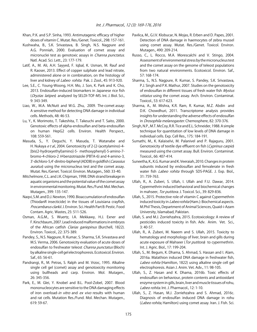- Khan, P.K. and S.P. Sinha, 1993. Antimutagenic efficacy of higher doses of vitamin C. Mutat. Res./Genet. Toxicol., 298: 157-161.
- Kushwaha, B., S.K. Srivastava, B. Singh, N.S. Nagpure and A.G. Ponniah, 2000. Evaluation of comet assay and micronuclei test as genotoxic assays in *Channa punctatus*. Natl. Acad. Sci. Lett., 23: 177-179.
- Latif, A., M. Ali, A.H. Sayyed, F. Iqbal, K. Usman, M. Rauf and R. Kaoser, 2013. Effect of copper sulphate and lead nitrate, administered alone or in combination, on the histology of liver and kidney of *Labeo rohita*. Pak. J. Zool., 45: 913-920.
- Lee, S.E., C. Young-Woong, H.H. Mo, J. Son, K. Park and K. Cho, 2013. Endosulfan-induced biomarkers in Japanese rice fish (Oryzias latipes) analyzed by SELDI-TOF-MS. Int. J. Biol. Sci., 9: 343-349.
- Liao, W., M.A. McNutt and W.G. Zhu, 2009. The comet assay: A sensitive method for detecting DNA damage in individual cells. Methods, 48: 46-53.
- Lu, Y., K. Morimoto, T. Takeshita, T. Takeuchi and T. Saito, 2000. Genotoxic effects of alpha-endosulfan and beta-endosulfan on human HepG2 cells. Environ. Health Perspect., 108: 559-561.
- Masuda, S., Y. Deguchi, Y. Masuda, T. Watanabe and H. Nukaya *e t al.*, 2004. Genotoxicity of 2-[2-(acetylamino)-4-[bis(2-hydroxyethyl)amino]-5- methoxyphenyl]-5-amino-7 bromo-4-chloro-2 H-benzotriazole (PBTA-6) and 4-amino-3, 3'-dichloro-5,4'-dinitro-biphenyl (ADDB) in goldfish (Carassius auratus) using the micronucleus test and the comet assay. Mutat. Res./Genet. Toxicol. Environ. Mutagen., 560: 33-40.
- Mitchelmore, C.L. and J.K. Chipman, 1998. DNA strand breakage in aquatic organisms and the potential value of the comet assay in environmental monitoring. Mutat. Res./Fund. Mol. Mechan. Mutagen., 399: 135-147.
- Naqvi, S.M. and D.J. Newton, 1990. Bioaccumulation of endosulfan (ThiodanR insecticide) in the tissues of Louisiana crayfish, Procambarus clarkii. J. Environ. Sci. Health Part B: Pestic. Food Contam. Agric. Wastes, 25: 511-526.
- Osman, A.G.M., S. Wuertz, I.A. Mekkawy, H.J. Exner and F. Kirschbaum, 2007. Lead induced malformations in embryos of the African catfish Clarias gariepinus (Burchell, 1822). Environ. Toxicol., 22: 375-389.
- Pandey, S., N.S. Nagpure, R. Kumar, S. Sharma, S.K. Srivastava and M.S. Verma, 2006. Genotoxicity evaluation of acute doses of endosulfan to freshwater teleost Channa punctatus (Bloch) by alkaline single-cell gel electrophoresis. Ecotoxicol. Environ. Saf., 65: 56-61.
- Pandrangi, R., M. Petras, S. Ralph and M. Vrzoc, 1995. Alkaline single cell gel (comet) assay and genotoxicity monitoring using bullheads and carp. Environ. Mol. Mutagen., 26: 345-356.
- Park, E., M. Glei, Y. Knobel and B.L. Pool-Zobel, 2007. Blood mononucleocytes are sensitive to the DNA damaging effects of iron overload-in vitro and ex vivo results with human and rat cells. Mutation Res./Fund. Mol. Mechan. Mutagen., 619: 59-67.
- Pavlica, M., G.I.V. Klobucar, N. Mojas, R. Erben and D. Papes, 2001. Detection of DNA damage in haemocytes of zebra mussel using comet assay. Mutat. Res./Genet. Toxicol. Environ. Mutagen., 490: 209-214.
- Russo, C., L. Rocco, M.A. Morescalchi and V. Stingo, 2004. Assessment of environmental stress by the micronucleus test and the comet assay on the genome of teleost populations from two natural environments. Ecotoxicol. Environ. Saf., 57: 168-174.
- Sharma, S., N.S. Nagpure, R. Kumar, S. Pandey, S.K. Srivastava, P.J. Singh and P.K. Mathur, 2007. Studies on the genotoxicity of endosulfan in different tissues of fresh water fish Mystus vittatus using the comet assay. Arch. Environ. Contaminat. Toxicol., 53: 617-623.
- Sharma, A., M. Mishra, K.R. Ram, R. Kumar, M.Z. Abdin and D.K. Chowdhuri, 2011. Transcriptome analysis provides insights for understanding the adverse effects of endosulfan in Drosophila melanogaster. Chemosphere, 82: 370-376.
- Singh, N.P., M.T. McCoy, R.R. Tice and E.L. Schneider, 1988. A simple technique for quantitation of low levels of DNA damage in individual cells. Exp. Cell Res., 175: 184-191.
- Sumathi, M., K. Kalaiselvi, M. Palanivel and P. Rajaguru, 2001. Genotoxicity of textile dye effluent on fish (Cyprinus carpio) measured using the comet assay. Bull. Environ. Contaminat. Toxicol., 66: 407-414.
- Suneetha, K., K.G. Kumar and K. Veeraiah, 2010. Changes in protein subunits induced by endosulfan and fenvalerate in fresh water fish *Labeo rohita* through SDS-PAGE. J. Exp. Biol., 31: 759-763.
- Ullah, R., A. Zuberi, S. Ullah, I. Ullah and F.U. Dawar, 2014. Cypermethrin induced behavioral and biochemical changes in mahseer, Tor putitora. J. Toxicol. Sci., 39: 829-836.
- Ullah, S., 2015. Protective role of vitamin C against Cypermethrin induced toxicity in Labeo rohita (Ham.): Biochemical aspects. M.Phil Thesis, Department of Animal Sciences, Quaid-i-Azam University, Islamabad, Pakistan.
- Ullah, S. and M.J. Zorriehzahra, 2015. Ecotoxicology: A review of pesticides induced toxicity in fish. Adv. Anim. Vet. Sci., 3: 40-57.
- Ullah, R., A. Zuberi, M. Naeem and S. Ullah, 2015. Toxicity to hematology and morphology of liver, brain and gills during acute exposure of Mahseer (Tor putitora) to cypermethrin. Int. J. Agric. Biol., 17: 199-204.
- Ullah, S., M. Begum, K. Dhama, S. Ahmad, S. Hassan and I. Alam, 2016a. Malathion induced DNA damage in freshwater fish, Labeo rohita (Hamilton, 1822) using alkaline single cell gel electrophoresis. Asian J. Anim. Vet. Adv., 11: 98-105.
- Ullah, S., Z. Hasan and K. Dhama, 2016b. Toxic effects of endosulfan on behaviour, protein contents and antioxidant enzyme system in gills, brain, liver and muscle tissues of rohu, Labeo rohita. Int. J. Pharmacol., 12: 1-10.
- Ullah, S., Z. Hasan, M.J. Zorriehzahra and S. Ahmad, 2016c. Diagnosis of endosulfan induced DNA damage in rohu (Labeo rohita, Hamilton) using comet assay. Iran. J. Fish. Sci.